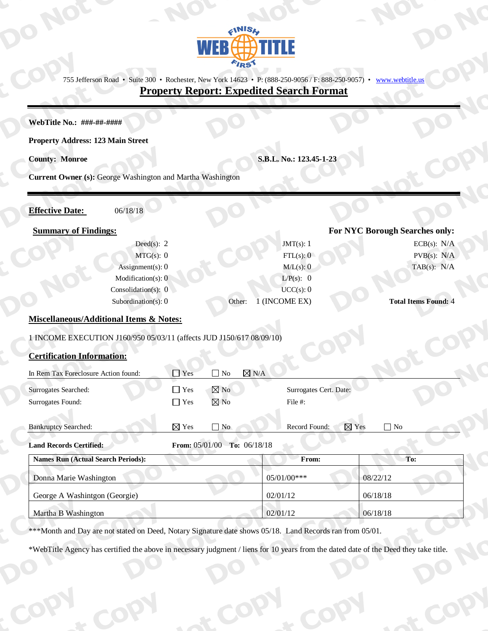

755 Jefferson Road • Suite 300 • Rochester, New York 14623 • P: (888-250-9056 / F: 888-250-9057) • www.webtitle.us

### **Property Report: Expedited Search Format**

#### WebTitle No.: ###-##-####

#### **Property Address: 123 Main Street**

**County: Monroe** 

S.B.L. No.: 123.45-1-23

JMT $(s)$ : 1

 $FTL(s)$ : 0

 $M/L(s)$ : 0

 $L/P(s)$ : 0

 $UCC(s): 0$ 

1 (INCOME EX)

Current Owner (s): George Washington and Martha Washington

#### **Effective Date:**

# 06/18/18

#### **Summary of Findings:**

Deed(s):  $2$  $MTG(s): 0$ Assignment(s): Modification(s): Consolidation(s): Subordination(s):

#### For NYC Borough Searches only:

 $ECB(s)$ :  $N/A$  $PVB(s)$ :  $N/A$ TAB $(s)$ : N/A

#### **Total Items Found: 4**

#### **Miscellaneous/Additional Items & Notes:**

1 INCOME EXECUTION J160/950 05/03/11 (affects JUD J150/617 08/09/10)

#### **Certification Information:**

| In Rem Tax Foreclosure Action found:      | $\Box$ Yes                      | $\Box$ No      | $\boxtimes$ N/A |                                               |          |  |  |
|-------------------------------------------|---------------------------------|----------------|-----------------|-----------------------------------------------|----------|--|--|
| <b>Surrogates Searched:</b>               | $\Box$ Yes                      | $\boxtimes$ No |                 | Surrogates Cert. Date:                        |          |  |  |
| Surrogates Found:                         | $\Box$ Yes                      | $\boxtimes$ No |                 | File #:                                       |          |  |  |
|                                           |                                 |                |                 |                                               |          |  |  |
| <b>Bankruptcy Searched:</b>               | $\boxtimes$ Yes                 | $\Box$ No      |                 | $\boxtimes$ Yes<br>$\Box$ No<br>Record Found: |          |  |  |
| <b>Land Records Certified:</b>            | From: $05/01/00$ To: $06/18/18$ |                |                 |                                               |          |  |  |
| <b>Names Run (Actual Search Periods):</b> |                                 |                |                 | From:                                         | To:      |  |  |
| Donna Marie Washington                    |                                 |                | 05/01/00***     |                                               | 08/22/12 |  |  |
| George A Washintgon (Georgie)             |                                 |                | 02/01/12        |                                               | 06/18/18 |  |  |
| Martha B Washington                       |                                 |                | 02/01/12        |                                               | 06/18/18 |  |  |

Other:

\*\*\*Month and Day are not stated on Deed, Notary Signature date shows 05/18. Land Records ran from 05/01.

\*WebTitle Agency has certified the above in necessary judgment / liens for 10 years from the dated date of the Deed they take title.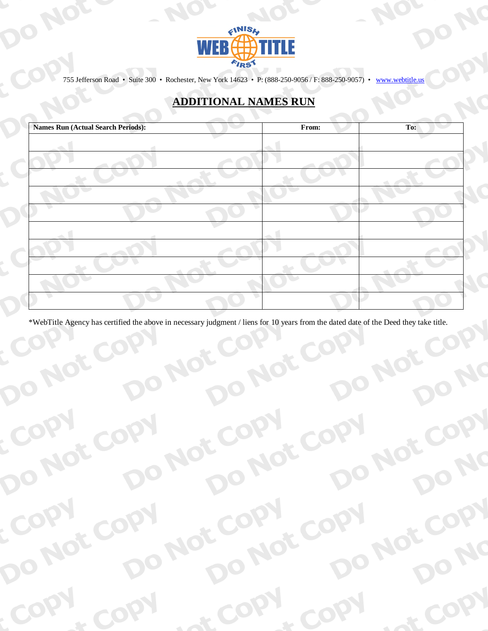

NC

JOY

NC

NC

NC

NO

NO

NOT

 $\zeta$ 

D

 $\epsilon^2$ 

NOt

COPY

755 Jefferson Road · Suite 300 · Rochester, New York 14623 · P: (888-250-9056 / F: 888-250-9057) · www.webtitle.us

## **ADDITIONAL NAMES RUN**

| <b>Names Run (Actual Search Periods):</b> | From: | To: |
|-------------------------------------------|-------|-----|
|                                           |       |     |
|                                           |       |     |
|                                           |       |     |
|                                           |       |     |
|                                           |       |     |
|                                           |       |     |
|                                           |       |     |
|                                           |       |     |
|                                           |       |     |
|                                           |       |     |

\*WebTitle Agency has certified the above in necessary judgment / liens for 10 years from the dated date of the Deed they take title.

Not

Not

CO

 $\mathbf{R}$ 

NOT

NO

 $\sim$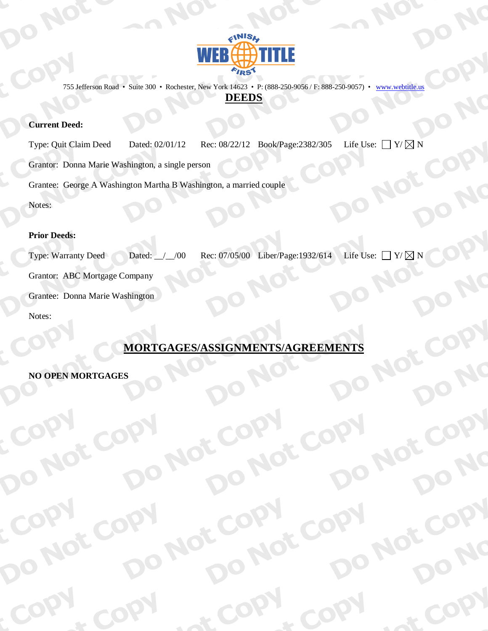

755 Jefferson Road · Suite 300 · Rochester, New York 14623 · P: (888-250-9056 / F: 888-250-9057) · www.webtitle.us

#### **DEEDS**

#### **Current Deed:**

Life Use:  $\Box$  Y/  $\boxtimes$  N Rec: 08/22/12 Book/Page:2382/305 Type: Quit Claim Deed Dated: 02/01/12 Grantor: Donna Marie Washington, a single person Grantee: George A Washington Martha B Washington, a married couple Notes:

#### **Prior Deeds:**

Life Use:  $\Box$  Y/  $\boxtimes$  N Rec: 07/05/00 Liber/Page: 1932/614 **Type: Warranty Deed** Dated:  $/$   $/$  00 Grantor: ABC Mortgage Company Grantee: Donna Marie Washington Notes:

### MORTGAGES/ASSIGNMENTS/AGREEMENTS

NO

#### **NO OPEN MORTGAGES**